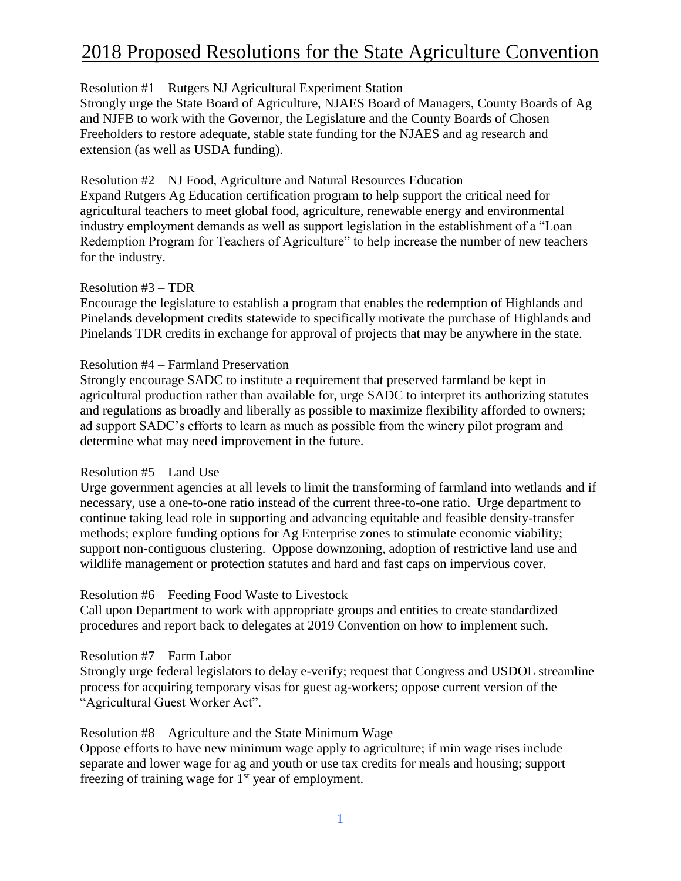# Resolution #1 – Rutgers NJ Agricultural Experiment Station

Strongly urge the State Board of Agriculture, NJAES Board of Managers, County Boards of Ag and NJFB to work with the Governor, the Legislature and the County Boards of Chosen Freeholders to restore adequate, stable state funding for the NJAES and ag research and extension (as well as USDA funding).

### Resolution #2 – NJ Food, Agriculture and Natural Resources Education

Expand Rutgers Ag Education certification program to help support the critical need for agricultural teachers to meet global food, agriculture, renewable energy and environmental industry employment demands as well as support legislation in the establishment of a "Loan Redemption Program for Teachers of Agriculture" to help increase the number of new teachers for the industry.

#### Resolution #3 – TDR

Encourage the legislature to establish a program that enables the redemption of Highlands and Pinelands development credits statewide to specifically motivate the purchase of Highlands and Pinelands TDR credits in exchange for approval of projects that may be anywhere in the state.

#### Resolution #4 – Farmland Preservation

Strongly encourage SADC to institute a requirement that preserved farmland be kept in agricultural production rather than available for, urge SADC to interpret its authorizing statutes and regulations as broadly and liberally as possible to maximize flexibility afforded to owners; ad support SADC's efforts to learn as much as possible from the winery pilot program and determine what may need improvement in the future.

# Resolution #5 – Land Use

Urge government agencies at all levels to limit the transforming of farmland into wetlands and if necessary, use a one-to-one ratio instead of the current three-to-one ratio. Urge department to continue taking lead role in supporting and advancing equitable and feasible density-transfer methods; explore funding options for Ag Enterprise zones to stimulate economic viability; support non-contiguous clustering. Oppose downzoning, adoption of restrictive land use and wildlife management or protection statutes and hard and fast caps on impervious cover.

# Resolution #6 – Feeding Food Waste to Livestock

Call upon Department to work with appropriate groups and entities to create standardized procedures and report back to delegates at 2019 Convention on how to implement such.

#### Resolution #7 – Farm Labor

Strongly urge federal legislators to delay e-verify; request that Congress and USDOL streamline process for acquiring temporary visas for guest ag-workers; oppose current version of the "Agricultural Guest Worker Act".

# Resolution #8 – Agriculture and the State Minimum Wage

Oppose efforts to have new minimum wage apply to agriculture; if min wage rises include separate and lower wage for ag and youth or use tax credits for meals and housing; support freezing of training wage for  $1<sup>st</sup>$  year of employment.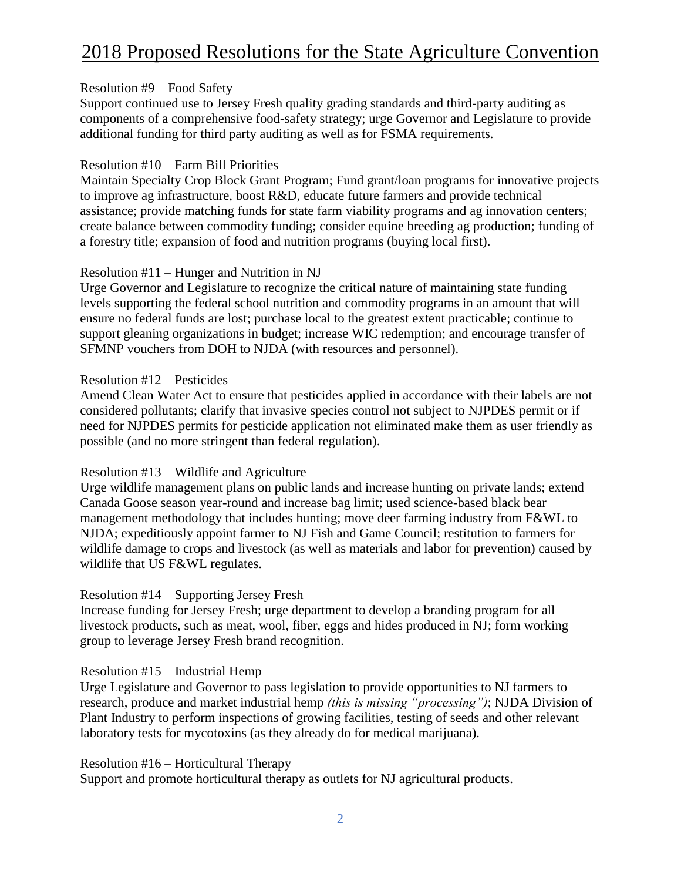#### Resolution #9 – Food Safety

Support continued use to Jersey Fresh quality grading standards and third-party auditing as components of a comprehensive food-safety strategy; urge Governor and Legislature to provide additional funding for third party auditing as well as for FSMA requirements.

### Resolution #10 – Farm Bill Priorities

Maintain Specialty Crop Block Grant Program; Fund grant/loan programs for innovative projects to improve ag infrastructure, boost R&D, educate future farmers and provide technical assistance; provide matching funds for state farm viability programs and ag innovation centers; create balance between commodity funding; consider equine breeding ag production; funding of a forestry title; expansion of food and nutrition programs (buying local first).

#### Resolution #11 – Hunger and Nutrition in NJ

Urge Governor and Legislature to recognize the critical nature of maintaining state funding levels supporting the federal school nutrition and commodity programs in an amount that will ensure no federal funds are lost; purchase local to the greatest extent practicable; continue to support gleaning organizations in budget; increase WIC redemption; and encourage transfer of SFMNP vouchers from DOH to NJDA (with resources and personnel).

#### Resolution #12 – Pesticides

Amend Clean Water Act to ensure that pesticides applied in accordance with their labels are not considered pollutants; clarify that invasive species control not subject to NJPDES permit or if need for NJPDES permits for pesticide application not eliminated make them as user friendly as possible (and no more stringent than federal regulation).

#### Resolution #13 – Wildlife and Agriculture

Urge wildlife management plans on public lands and increase hunting on private lands; extend Canada Goose season year-round and increase bag limit; used science-based black bear management methodology that includes hunting; move deer farming industry from F&WL to NJDA; expeditiously appoint farmer to NJ Fish and Game Council; restitution to farmers for wildlife damage to crops and livestock (as well as materials and labor for prevention) caused by wildlife that US F&WL regulates.

#### Resolution #14 – Supporting Jersey Fresh

Increase funding for Jersey Fresh; urge department to develop a branding program for all livestock products, such as meat, wool, fiber, eggs and hides produced in NJ; form working group to leverage Jersey Fresh brand recognition.

#### Resolution #15 – Industrial Hemp

Urge Legislature and Governor to pass legislation to provide opportunities to NJ farmers to research, produce and market industrial hemp *(this is missing "processing")*; NJDA Division of Plant Industry to perform inspections of growing facilities, testing of seeds and other relevant laboratory tests for mycotoxins (as they already do for medical marijuana).

#### Resolution #16 – Horticultural Therapy

Support and promote horticultural therapy as outlets for NJ agricultural products.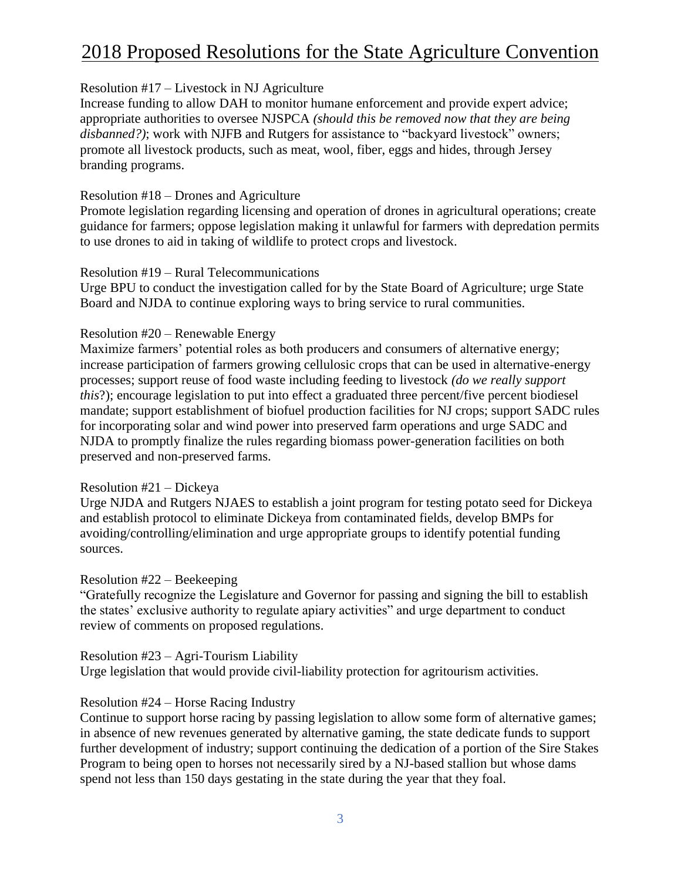### Resolution #17 – Livestock in NJ Agriculture

Increase funding to allow DAH to monitor humane enforcement and provide expert advice; appropriate authorities to oversee NJSPCA *(should this be removed now that they are being disbanned?*); work with NJFB and Rutgers for assistance to "backyard livestock" owners; promote all livestock products, such as meat, wool, fiber, eggs and hides, through Jersey branding programs.

#### Resolution #18 – Drones and Agriculture

Promote legislation regarding licensing and operation of drones in agricultural operations; create guidance for farmers; oppose legislation making it unlawful for farmers with depredation permits to use drones to aid in taking of wildlife to protect crops and livestock.

#### Resolution #19 – Rural Telecommunications

Urge BPU to conduct the investigation called for by the State Board of Agriculture; urge State Board and NJDA to continue exploring ways to bring service to rural communities.

#### Resolution #20 – Renewable Energy

Maximize farmers' potential roles as both producers and consumers of alternative energy; increase participation of farmers growing cellulosic crops that can be used in alternative-energy processes; support reuse of food waste including feeding to livestock *(do we really support this*?); encourage legislation to put into effect a graduated three percent/five percent biodiesel mandate; support establishment of biofuel production facilities for NJ crops; support SADC rules for incorporating solar and wind power into preserved farm operations and urge SADC and NJDA to promptly finalize the rules regarding biomass power-generation facilities on both preserved and non-preserved farms.

#### Resolution #21 – Dickeya

Urge NJDA and Rutgers NJAES to establish a joint program for testing potato seed for Dickeya and establish protocol to eliminate Dickeya from contaminated fields, develop BMPs for avoiding/controlling/elimination and urge appropriate groups to identify potential funding sources.

# Resolution #22 – Beekeeping

"Gratefully recognize the Legislature and Governor for passing and signing the bill to establish the states' exclusive authority to regulate apiary activities" and urge department to conduct review of comments on proposed regulations.

# Resolution #23 – Agri-Tourism Liability

Urge legislation that would provide civil-liability protection for agritourism activities.

# Resolution #24 – Horse Racing Industry

Continue to support horse racing by passing legislation to allow some form of alternative games; in absence of new revenues generated by alternative gaming, the state dedicate funds to support further development of industry; support continuing the dedication of a portion of the Sire Stakes Program to being open to horses not necessarily sired by a NJ-based stallion but whose dams spend not less than 150 days gestating in the state during the year that they foal.